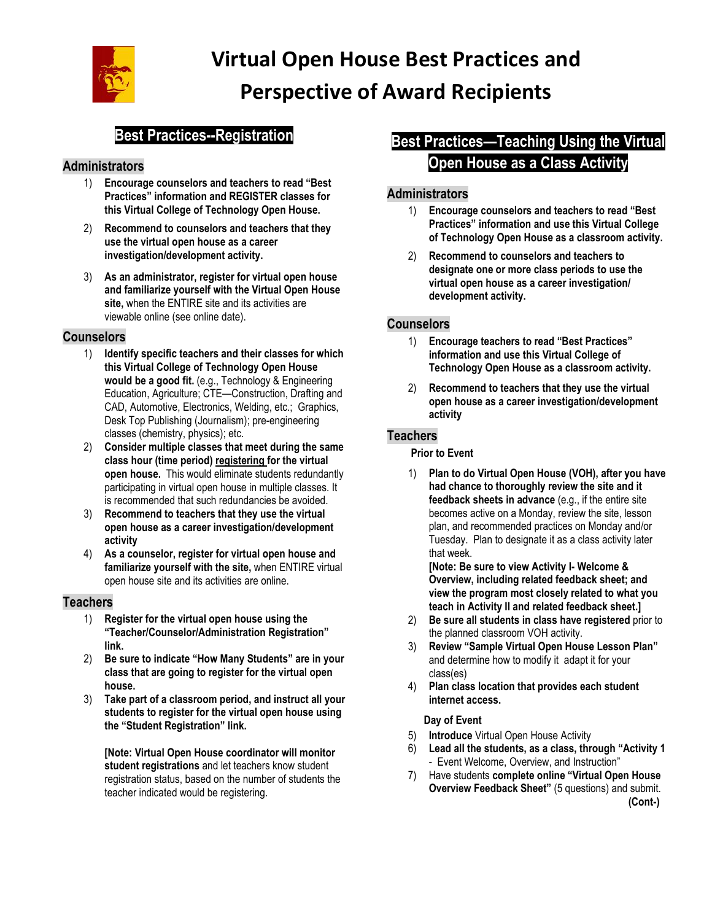

# **Best Practices--Registration**

### **Administrators**

- 1) **Encourage counselors and teachers to read "Best Practices" information and REGISTER classes for this Virtual College of Technology Open House.**
- 2) **Recommend to counselors and teachers that they use the virtual open house as a career investigation/development activity.**
- 3) **As an administrator, register for virtual open house and familiarize yourself with the Virtual Open House site,** when the ENTIRE site and its activities are viewable online (see online date).

#### **Counselors**

- 1) **Identify specific teachers and their classes for which this Virtual College of Technology Open House would be a good fit.** (e.g., Technology & Engineering Education, Agriculture; CTE—Construction, Drafting and CAD, Automotive, Electronics, Welding, etc.; Graphics, Desk Top Publishing (Journalism); pre-engineering classes (chemistry, physics); etc.
- 2) **Consider multiple classes that meet during the same class hour (time period) registering for the virtual open house.** This would eliminate students redundantly participating in virtual open house in multiple classes. It is recommended that such redundancies be avoided.
- 3) **Recommend to teachers that they use the virtual open house as a career investigation/development activity**
- 4) **As a counselor, register for virtual open house and familiarize yourself with the site,** when ENTIRE virtual open house site and its activities are online.

#### **Teachers**

- 1) **Register for the virtual open house using the "Teacher/Counselor/Administration Registration" link.**
- 2) **Be sure to indicate "How Many Students" are in your class that are going to register for the virtual open house.**
- 3) **Take part of a classroom period, and instruct all your students to register for the virtual open house using the "Student Registration" link.**

**[Note: Virtual Open House coordinator will monitor student registrations** and let teachers know student registration status, based on the number of students the teacher indicated would be registering.

# **Best Practices—Teaching Using the Virtual Open House as a Class Activity**

### **Administrators**

- 1) **Encourage counselors and teachers to read "Best Practices" information and use this Virtual College of Technology Open House as a classroom activity.**
- 2) **Recommend to counselors and teachers to designate one or more class periods to use the virtual open house as a career investigation/ development activity.**

#### **Counselors**

- 1) **Encourage teachers to read "Best Practices" information and use this Virtual College of Technology Open House as a classroom activity.**
- 2) **Recommend to teachers that they use the virtual open house as a career investigation/development activity**

#### **Teachers**

#### **Prior to Event**

1) **Plan to do Virtual Open House (VOH), after you have had chance to thoroughly review the site and it feedback sheets in advance** (e.g., if the entire site becomes active on a Monday, review the site, lesson plan, and recommended practices on Monday and/or Tuesday. Plan to designate it as a class activity later that week.

**[Note: Be sure to view Activity I- Welcome & Overview, including related feedback sheet; and view the program most closely related to what you teach in Activity II and related feedback sheet.]**

- 2) **Be sure all students in class have registered** prior to the planned classroom VOH activity.
- 3) **Review "Sample Virtual Open House Lesson Plan"** and determine how to modify it adapt it for your class(es)
- 4) **Plan class location that provides each student internet access.**

#### **Day of Event**

- 5) **Introduce** Virtual Open House Activity
- 6) **Lead all the students, as a class, through "Activity 1**  - Event Welcome, Overview, and Instruction"
- 7) Have students **complete online "Virtual Open House Overview Feedback Sheet"** (5 questions) and submit. **(Cont-)**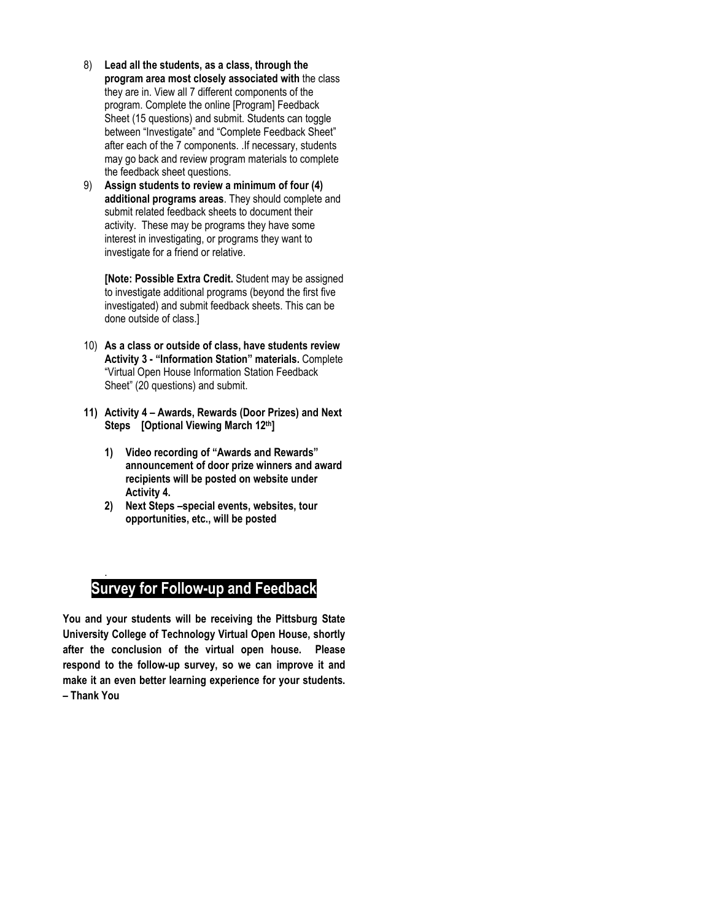- 8) **Lead all the students, as a class, through the program area most closely associated with** the class they are in. View all 7 different components of the program. Complete the online [Program] Feedback Sheet (15 questions) and submit. Students can toggle between "Investigate" and "Complete Feedback Sheet" after each of the 7 components. .If necessary, students may go back and review program materials to complete the feedback sheet questions.
- 9) **Assign students to review a minimum of four (4) additional programs areas**. They should complete and submit related feedback sheets to document their activity. These may be programs they have some interest in investigating, or programs they want to investigate for a friend or relative.

**[Note: Possible Extra Credit.** Student may be assigned to investigate additional programs (beyond the first five investigated) and submit feedback sheets. This can be done outside of class.]

- 10) **As a class or outside of class, have students review Activity 3 - "Information Station" materials.** Complete "Virtual Open House Information Station Feedback Sheet" (20 questions) and submit.
- **11) Activity 4 – Awards, Rewards (Door Prizes) and Next Steps [Optional Viewing March 12th]** 
	- **1) Video recording of "Awards and Rewards" announcement of door prize winners and award recipients will be posted on website under Activity 4.**
	- **2) Next Steps –special events, websites, tour opportunities, etc., will be posted**

## **Survey for Follow-up and Feedback**

.

**You and your students will be receiving the Pittsburg State University College of Technology Virtual Open House, shortly after the conclusion of the virtual open house. Please respond to the follow-up survey, so we can improve it and make it an even better learning experience for your students. – Thank You**